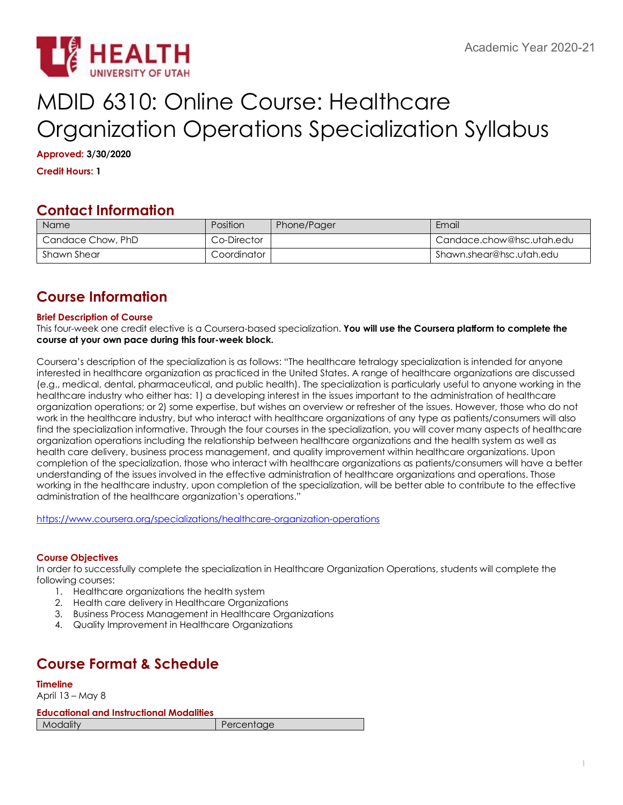# MDID 6310: Online Course: Healthcare Organization Operations Specialization Syllabus

**Approved: 3/30/2020**

**Credit Hours: 1**

# **Contact Information**

| Name              | <b>Position</b> | Phone/Pager | Email                     |
|-------------------|-----------------|-------------|---------------------------|
| Candace Chow, PhD | Co-Director     |             | Candace.chow@hsc.utah.edu |
| Shawn Shear       | Coordinator     |             | Shawn.shear@hsc.utah.edu  |

# **Course Information**

## **Brief Description of Course**

This four-week one credit elective is a Coursera-based specialization. **You will use the Coursera platform to complete the course at your own pace during this four-week block.**

Coursera's description of the specialization is as follows: "The healthcare tetralogy specialization is intended for anyone interested in healthcare organization as practiced in the United States. A range of healthcare organizations are discussed (e.g., medical, dental, pharmaceutical, and public health). The specialization is particularly useful to anyone working in the healthcare industry who either has: 1) a developing interest in the issues important to the administration of healthcare organization operations; or 2) some expertise, but wishes an overview or refresher of the issues. However, those who do not work in the healthcare industry, but who interact with healthcare organizations of any type as patients/consumers will also find the specialization informative. Through the four courses in the specialization, you will cover many aspects of healthcare organization operations including the relationship between healthcare organizations and the health system as well as health care delivery, business process management, and quality improvement within healthcare organizations. Upon completion of the specialization, those who interact with healthcare organizations as patients/consumers will have a better understanding of the issues involved in the effective administration of healthcare organizations and operations. Those working in the healthcare industry, upon completion of the specialization, will be better able to contribute to the effective administration of the healthcare organization's operations."

https://www.coursera.org/specializations/healthcare-organization-operations

## **Course Objectives**

In order to successfully complete the specialization in Healthcare Organization Operations, students will complete the following courses:

- 1. Healthcare organizations the health system
- 2. Health care delivery in Healthcare Organizations
- 3. Business Process Management in Healthcare Organizations
- 4. Quality Improvement in Healthcare Organizations

# **Course Format & Schedule**

**Timeline** April 13 – May 8 **Educational and Instructional Modalities Modality Percentage**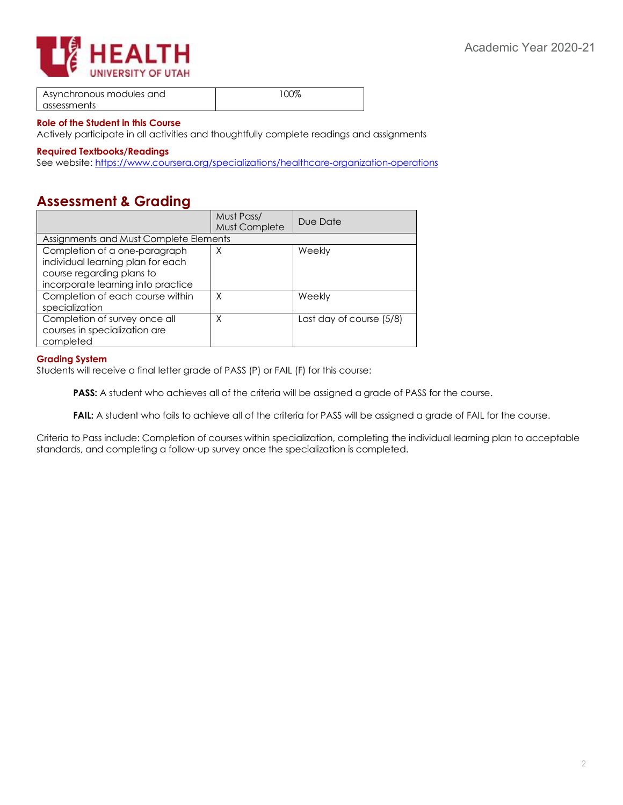



| Asynchronous modules and | 100% |
|--------------------------|------|
| assessments              |      |

#### **Role of the Student in this Course**

Actively participate in all activities and thoughtfully complete readings and assignments

#### **Required Textbooks/Readings**

See website: https://www.coursera.org/specializations/healthcare-organization-operations

## **Assessment & Grading**

|                                                                                                                                       | Must Pass/<br>Must Complete | Due Date                 |  |  |
|---------------------------------------------------------------------------------------------------------------------------------------|-----------------------------|--------------------------|--|--|
| Assignments and Must Complete Elements                                                                                                |                             |                          |  |  |
| Completion of a one-paragraph<br>individual learning plan for each<br>course regarding plans to<br>incorporate learning into practice | X                           | Weekly                   |  |  |
| Completion of each course within<br>specialization                                                                                    | X                           | Weekly                   |  |  |
| Completion of survey once all<br>courses in specialization are<br>completed                                                           | Χ                           | Last day of course (5/8) |  |  |

#### **Grading System**

Students will receive a final letter grade of PASS (P) or FAIL (F) for this course:

**PASS:** A student who achieves all of the criteria will be assigned a grade of PASS for the course.

FAIL: A student who fails to achieve all of the criteria for PASS will be assigned a grade of FAIL for the course.

Criteria to Pass include: Completion of courses within specialization, completing the individual learning plan to acceptable standards, and completing a follow-up survey once the specialization is completed.